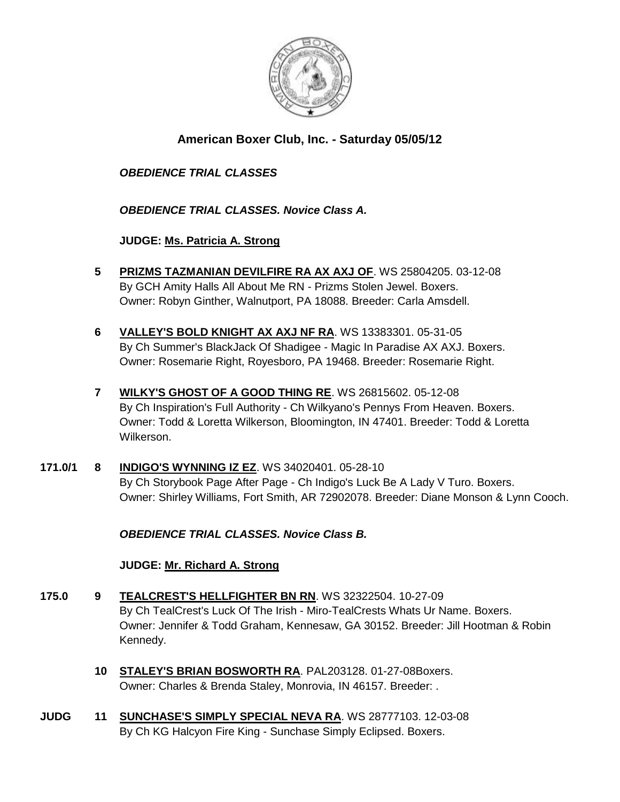

# **American Boxer Club, Inc. - Saturday 05/05/12**

## *OBEDIENCE TRIAL CLASSES*

*OBEDIENCE TRIAL CLASSES. Novice Class A.*

**JUDGE: [Ms. Patricia A. Strong](http://www.infodog.com/judges/19096/juddat.htm)**

- **5 [PRIZMS TAZMANIAN DEVILFIRE RA AX AXJ OF](http://www.infodog.com/files/bdogrsl1.prg;makc=WS%2025804205;mdog=Prizms_Tazmanian_DevilFire_RA_AX_AXJ_OF;wins=all)**. WS 25804205. 03-12-08 By GCH Amity Halls All About Me RN - Prizms Stolen Jewel. Boxers. Owner: Robyn Ginther, Walnutport, PA 18088. Breeder: Carla Amsdell.
- **6 [VALLEY'S BOLD KNIGHT AX AXJ NF RA](http://www.infodog.com/files/bdogrsl1.prg;makc=WS%2013383301;mdog=Valley_s_Bold_Knight_AX_AXJ_NF_RA;wins=all)**. WS 13383301. 05-31-05 By Ch Summer's BlackJack Of Shadigee - Magic In Paradise AX AXJ. Boxers. Owner: Rosemarie Right, Royesboro, PA 19468. Breeder: Rosemarie Right.
- **7 [WILKY'S GHOST OF A GOOD THING RE](http://www.infodog.com/files/bdogrsl1.prg;makc=WS%2026815602;mdog=Wilky_s_Ghost_Of_A_Good_Thing_RE;wins=all)**. WS 26815602. 05-12-08 By Ch Inspiration's Full Authority - Ch Wilkyano's Pennys From Heaven. Boxers. Owner: Todd & Loretta Wilkerson, Bloomington, IN 47401. Breeder: Todd & Loretta Wilkerson.
- **171.0/1 8 [INDIGO'S WYNNING IZ EZ](http://www.infodog.com/files/bdogrsl1.prg;makc=WS%2034020401;mdog=Indigo_s_Wynning_Iz_Ez;wins=all)**. WS 34020401. 05-28-10 By Ch Storybook Page After Page - Ch Indigo's Luck Be A Lady V Turo. Boxers. Owner: Shirley Williams, Fort Smith, AR 72902078. Breeder: Diane Monson & Lynn Cooch.

*OBEDIENCE TRIAL CLASSES. Novice Class B.*

## **JUDGE: [Mr. Richard A. Strong](http://www.infodog.com/judges/2197/juddat.htm)**

- **175.0 9 [TEALCREST'S HELLFIGHTER BN RN](http://www.infodog.com/files/bdogrsl1.prg;makc=WS%2032322504;mdog=TealCrest_s_Hellfighter_BN_RN;wins=all)**. WS 32322504. 10-27-09 By Ch TealCrest's Luck Of The Irish - Miro-TealCrests Whats Ur Name. Boxers. Owner: Jennifer & Todd Graham, Kennesaw, GA 30152. Breeder: Jill Hootman & Robin Kennedy.
	- **10 [STALEY'S BRIAN BOSWORTH RA](http://www.infodog.com/files/bdogrsl1.prg;makc=PAL203128;mdog=Staley_s_Brian_Bosworth_RA;wins=all)**. PAL203128. 01-27-08Boxers. Owner: Charles & Brenda Staley, Monrovia, IN 46157. Breeder: .
- **JUDG 11 [SUNCHASE'S SIMPLY SPECIAL NEVA RA](http://www.infodog.com/files/bdogrsl1.prg;makc=WS%2028777103;mdog=Sunchase_s_Simply_Special_Neva_RA;wins=all)**. WS 28777103. 12-03-08 By Ch KG Halcyon Fire King - Sunchase Simply Eclipsed. Boxers.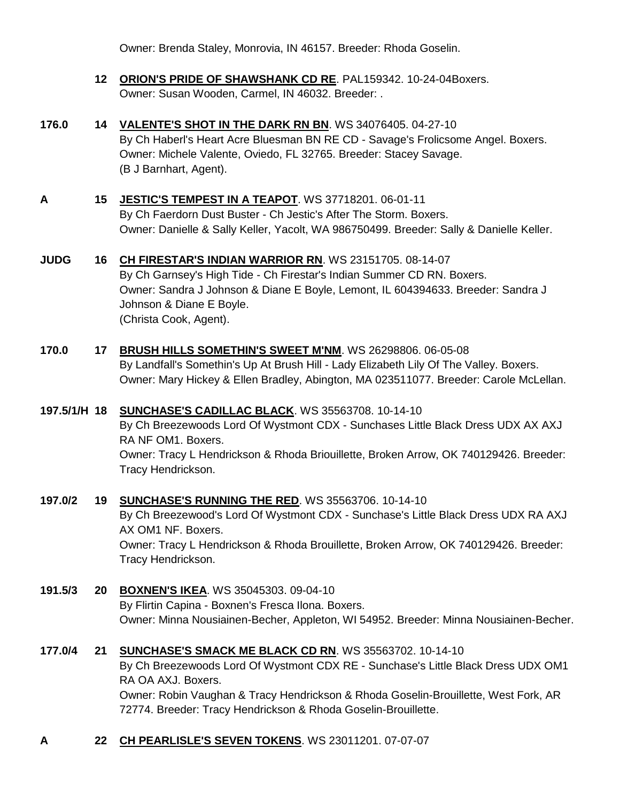Owner: Brenda Staley, Monrovia, IN 46157. Breeder: Rhoda Goselin.

- **12 [ORION'S PRIDE OF SHAWSHANK CD RE](http://www.infodog.com/files/bdogrsl1.prg;makc=PAL159342;mdog=Orion_s_Pride_Of_Shawshank_CD_RE;wins=all)**. PAL159342. 10-24-04Boxers. Owner: Susan Wooden, Carmel, IN 46032. Breeder: .
- **176.0 14 [VALENTE'S SHOT IN THE DARK RN BN](http://www.infodog.com/files/bdogrsl1.prg;makc=WS%2034076405;mdog=Valente_s_Shot_In_The_Dark_RN_BN;wins=all)**. WS 34076405. 04-27-10 By Ch Haberl's Heart Acre Bluesman BN RE CD - Savage's Frolicsome Angel. Boxers. Owner: Michele Valente, Oviedo, FL 32765. Breeder: Stacey Savage. (B J Barnhart, Agent).
- **A 15 [JESTIC'S TEMPEST IN A TEAPOT](http://www.infodog.com/files/bdogrsl1.prg;makc=WS%2037718201;mdog=Jestic_s_Tempest_In_A_Teapot;wins=all)**. WS 37718201. 06-01-11 By Ch Faerdorn Dust Buster - Ch Jestic's After The Storm. Boxers. Owner: Danielle & Sally Keller, Yacolt, WA 986750499. Breeder: Sally & Danielle Keller.
- **JUDG 16 [CH FIRESTAR'S INDIAN WARRIOR RN](http://www.infodog.com/files/bdogrsl1.prg;makc=WS%2023151705;mdog=Ch_Firestar_s_Indian_Warrior_RN;wins=all)**. WS 23151705. 08-14-07 By Ch Garnsey's High Tide - Ch Firestar's Indian Summer CD RN. Boxers. Owner: Sandra J Johnson & Diane E Boyle, Lemont, IL 604394633. Breeder: Sandra J Johnson & Diane E Boyle. (Christa Cook, Agent).
- **170.0 17 [BRUSH HILLS SOMETHIN'S SWEET M'NM](http://www.infodog.com/files/bdogrsl1.prg;makc=WS%2026298806;mdog=Brush_Hills_Somethin_s_Sweet_M_NM;wins=all)**. WS 26298806. 06-05-08 By Landfall's Somethin's Up At Brush Hill - Lady Elizabeth Lily Of The Valley. Boxers. Owner: Mary Hickey & Ellen Bradley, Abington, MA 023511077. Breeder: Carole McLellan.
- **197.5/1/H 18 [SUNCHASE'S CADILLAC BLACK](http://www.infodog.com/files/bdogrsl1.prg;makc=WS%2035563708;mdog=Sunchase_s_Cadillac_Black;wins=all)**. WS 35563708. 10-14-10 By Ch Breezewoods Lord Of Wystmont CDX - Sunchases Little Black Dress UDX AX AXJ RA NF OM1. Boxers. Owner: Tracy L Hendrickson & Rhoda Briouillette, Broken Arrow, OK 740129426. Breeder: Tracy Hendrickson.
- **197.0/2 19 [SUNCHASE'S RUNNING THE RED](http://www.infodog.com/files/bdogrsl1.prg;makc=WS%2035563706;mdog=Sunchase_s_Running_The_Red;wins=all)**. WS 35563706. 10-14-10 By Ch Breezewood's Lord Of Wystmont CDX - Sunchase's Little Black Dress UDX RA AXJ AX OM1 NF. Boxers. Owner: Tracy L Hendrickson & Rhoda Brouillette, Broken Arrow, OK 740129426. Breeder: Tracy Hendrickson.
- **191.5/3 20 [BOXNEN'S IKEA](http://www.infodog.com/files/bdogrsl1.prg;makc=WS%2035045303;mdog=Boxnen_s_Ikea;wins=all)**. WS 35045303. 09-04-10 By Flirtin Capina - Boxnen's Fresca Ilona. Boxers. Owner: Minna Nousiainen-Becher, Appleton, WI 54952. Breeder: Minna Nousiainen-Becher.
- **177.0/4 21 [SUNCHASE'S SMACK ME BLACK CD RN](http://www.infodog.com/files/bdogrsl1.prg;makc=WS%2035563702;mdog=Sunchase_s_Smack_Me_Black_CD_RN;wins=all)**. WS 35563702. 10-14-10 By Ch Breezewoods Lord Of Wystmont CDX RE - Sunchase's Little Black Dress UDX OM1 RA OA AXJ. Boxers. Owner: Robin Vaughan & Tracy Hendrickson & Rhoda Goselin-Brouillette, West Fork, AR 72774. Breeder: Tracy Hendrickson & Rhoda Goselin-Brouillette.
- **A 22 [CH PEARLISLE'S SEVEN TOKENS](http://www.infodog.com/files/bdogrsl1.prg;makc=WS%2023011201;mdog=Ch_Pearlisle_s_Seven_Tokens;wins=all)**. WS 23011201. 07-07-07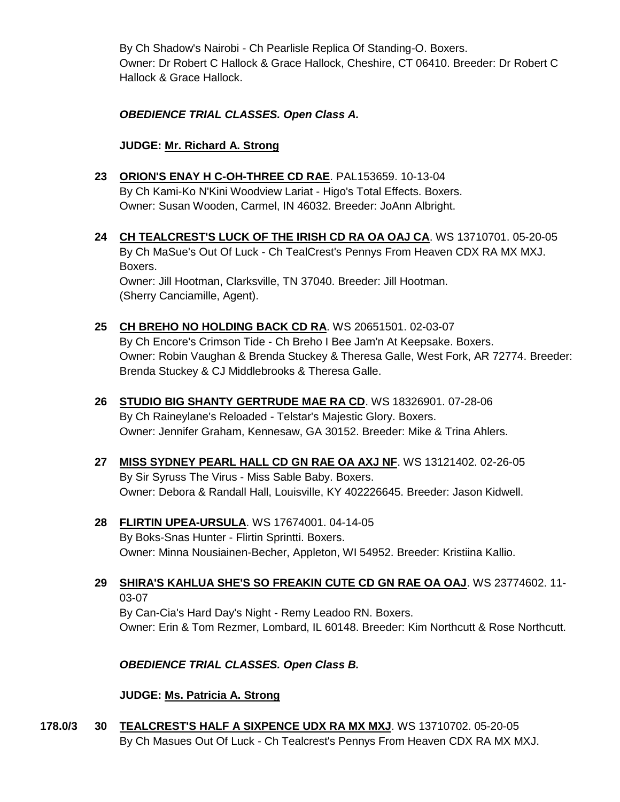By Ch Shadow's Nairobi - Ch Pearlisle Replica Of Standing-O. Boxers. Owner: Dr Robert C Hallock & Grace Hallock, Cheshire, CT 06410. Breeder: Dr Robert C Hallock & Grace Hallock.

*OBEDIENCE TRIAL CLASSES. Open Class A.*

**JUDGE: [Mr. Richard A. Strong](http://www.infodog.com/judges/2197/juddat.htm)**

- **23 [ORION'S ENAY H C-OH-THREE CD RAE](http://www.infodog.com/files/bdogrsl1.prg;makc=PAL153659;mdog=Orion_s_Enay_H_C-oh-three_CD_RAE;wins=all)**. PAL153659. 10-13-04 By Ch Kami-Ko N'Kini Woodview Lariat - Higo's Total Effects. Boxers. Owner: Susan Wooden, Carmel, IN 46032. Breeder: JoAnn Albright.
- **24 [CH TEALCREST'S LUCK OF THE IRISH CD RA OA OAJ CA](http://www.infodog.com/files/bdogrsl1.prg;makc=WS%2013710701;mdog=Ch_TealCrest_s_Luck_Of_The_Irish_CD_RA_OA_OAJ_CA;wins=all)**. WS 13710701. 05-20-05 By Ch MaSue's Out Of Luck - Ch TealCrest's Pennys From Heaven CDX RA MX MXJ. Boxers. Owner: Jill Hootman, Clarksville, TN 37040. Breeder: Jill Hootman. (Sherry Canciamille, Agent).
- **25 [CH BREHO NO HOLDING BACK CD RA](http://www.infodog.com/files/bdogrsl1.prg;makc=WS%2020651501;mdog=Ch_Breho_No_Holding_Back_CD_RA;wins=all)**. WS 20651501. 02-03-07 By Ch Encore's Crimson Tide - Ch Breho I Bee Jam'n At Keepsake. Boxers. Owner: Robin Vaughan & Brenda Stuckey & Theresa Galle, West Fork, AR 72774. Breeder: Brenda Stuckey & CJ Middlebrooks & Theresa Galle.
- **26 [STUDIO BIG SHANTY GERTRUDE MAE RA CD](http://www.infodog.com/files/bdogrsl1.prg;makc=WS%2018326901;mdog=Studio_Big_Shanty_Gertrude_Mae_RA_CD;wins=all)**. WS 18326901. 07-28-06 By Ch Raineylane's Reloaded - Telstar's Majestic Glory. Boxers. Owner: Jennifer Graham, Kennesaw, GA 30152. Breeder: Mike & Trina Ahlers.
- **27 [MISS SYDNEY PEARL HALL CD GN RAE OA AXJ NF](http://www.infodog.com/files/bdogrsl1.prg;makc=WS%2013121402;mdog=Miss_Sydney_Pearl_Hall_CD_GN_RAE_OA_AXJ_NF;wins=all)**. WS 13121402. 02-26-05 By Sir Syruss The Virus - Miss Sable Baby. Boxers. Owner: Debora & Randall Hall, Louisville, KY 402226645. Breeder: Jason Kidwell.
- **28 [FLIRTIN UPEA-URSULA](http://www.infodog.com/files/bdogrsl1.prg;makc=WS%2017674001;mdog=Flirtin_Upea-Ursula;wins=all)**. WS 17674001. 04-14-05 By Boks-Snas Hunter - Flirtin Sprintti. Boxers. Owner: Minna Nousiainen-Becher, Appleton, WI 54952. Breeder: Kristiina Kallio.

**29 [SHIRA'S KAHLUA SHE'S SO FREAKIN CUTE CD GN RAE OA OAJ](http://www.infodog.com/files/bdogrsl1.prg;makc=WS%2023774602;mdog=Shira_s_Kahlua_She_s_So_Freakin_Cute_CD_GN_RAE_OA_OAJ;wins=all)**. WS 23774602. 11- 03-07 By Can-Cia's Hard Day's Night - Remy Leadoo RN. Boxers.

Owner: Erin & Tom Rezmer, Lombard, IL 60148. Breeder: Kim Northcutt & Rose Northcutt.

## *OBEDIENCE TRIAL CLASSES. Open Class B.*

**JUDGE: [Ms. Patricia A. Strong](http://www.infodog.com/judges/19096/juddat.htm)**

**178.0/3 30 [TEALCREST'S HALF A SIXPENCE UDX RA MX MXJ](http://www.infodog.com/files/bdogrsl1.prg;makc=WS%2013710702;mdog=Tealcrest_s_Half_A_Sixpence_UDX_RA_MX_MXJ;wins=all)**. WS 13710702. 05-20-05 By Ch Masues Out Of Luck - Ch Tealcrest's Pennys From Heaven CDX RA MX MXJ.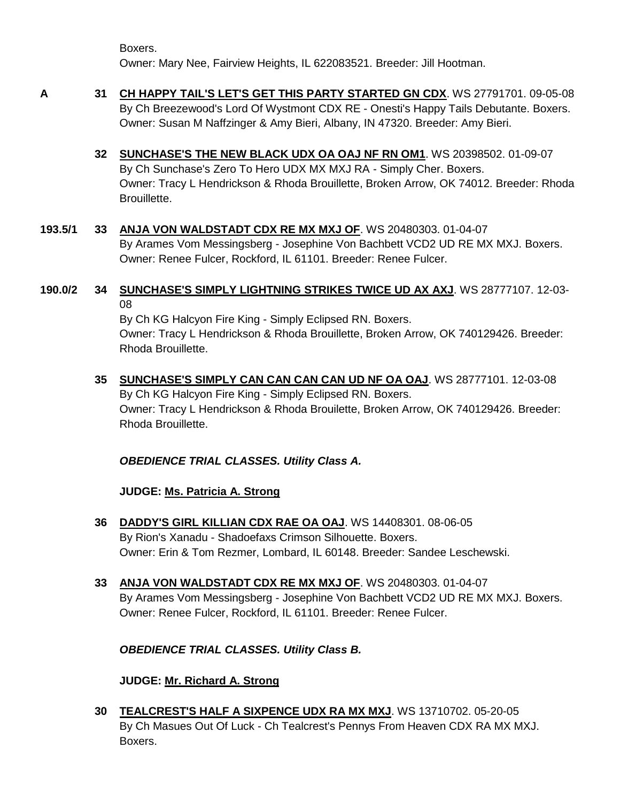Boxers. Owner: Mary Nee, Fairview Heights, IL 622083521. Breeder: Jill Hootman.

- **A 31 [CH HAPPY TAIL'S LET'S GET THIS PARTY STARTED GN CDX](http://www.infodog.com/files/bdogrsl1.prg;makc=WS%2027791701;mdog=Ch_Happy_Tail_s_Let_s_Get_This_Party_Started_GN_CDX;wins=all)**. WS 27791701. 09-05-08 By Ch Breezewood's Lord Of Wystmont CDX RE - Onesti's Happy Tails Debutante. Boxers. Owner: Susan M Naffzinger & Amy Bieri, Albany, IN 47320. Breeder: Amy Bieri.
	- **32 [SUNCHASE'S THE NEW BLACK UDX OA OAJ NF RN OM1](http://www.infodog.com/files/bdogrsl1.prg;makc=WS%2020398502;mdog=Sunchase_s_The_New_Black_UDX_OA_OAJ_NF_RN_OM1;wins=all)**. WS 20398502. 01-09-07 By Ch Sunchase's Zero To Hero UDX MX MXJ RA - Simply Cher. Boxers. Owner: Tracy L Hendrickson & Rhoda Brouillette, Broken Arrow, OK 74012. Breeder: Rhoda Brouillette.
- **193.5/1 33 [ANJA VON WALDSTADT CDX RE MX MXJ OF](http://www.infodog.com/files/bdogrsl1.prg;makc=WS%2020480303;mdog=Anja_Von_Waldstadt_CDX_RE_MX_MXJ_OF;wins=all)**. WS 20480303. 01-04-07 By Arames Vom Messingsberg - Josephine Von Bachbett VCD2 UD RE MX MXJ. Boxers. Owner: Renee Fulcer, Rockford, IL 61101. Breeder: Renee Fulcer.
- **190.0/2 34 [SUNCHASE'S SIMPLY LIGHTNING STRIKES TWICE UD AX AXJ](http://www.infodog.com/files/bdogrsl1.prg;makc=WS%2028777107;mdog=Sunchase_s_Simply_Lightning_Strikes_Twice_UD_AX_AXJ;wins=all)**. WS 28777107. 12-03- 08

By Ch KG Halcyon Fire King - Simply Eclipsed RN. Boxers. Owner: Tracy L Hendrickson & Rhoda Brouillette, Broken Arrow, OK 740129426. Breeder: Rhoda Brouillette.

**35 [SUNCHASE'S SIMPLY CAN CAN CAN CAN UD NF OA OAJ](http://www.infodog.com/files/bdogrsl1.prg;makc=WS%2028777101;mdog=Sunchase_s_Simply_Can_Can_Can_Can_UD_NF_OA_OAJ;wins=all)**. WS 28777101. 12-03-08 By Ch KG Halcyon Fire King - Simply Eclipsed RN. Boxers. Owner: Tracy L Hendrickson & Rhoda Brouilette, Broken Arrow, OK 740129426. Breeder: Rhoda Brouillette.

*OBEDIENCE TRIAL CLASSES. Utility Class A.*

## **JUDGE: [Ms. Patricia A. Strong](http://www.infodog.com/judges/19096/juddat.htm)**

- **36 [DADDY'S GIRL KILLIAN CDX RAE OA OAJ](http://www.infodog.com/files/bdogrsl1.prg;makc=WS%2014408301;mdog=Daddy_s_Girl_Killian_CDX_RAE_OA_OAJ;wins=all)**. WS 14408301. 08-06-05 By Rion's Xanadu - Shadoefaxs Crimson Silhouette. Boxers. Owner: Erin & Tom Rezmer, Lombard, IL 60148. Breeder: Sandee Leschewski.
- **33 [ANJA VON WALDSTADT CDX RE MX MXJ OF](http://www.infodog.com/files/bdogrsl1.prg;makc=WS%2020480303;mdog=Anja_Von_Waldstadt_CDX_RE_MX_MXJ_OF;wins=all)**. WS 20480303. 01-04-07 By Arames Vom Messingsberg - Josephine Von Bachbett VCD2 UD RE MX MXJ. Boxers. Owner: Renee Fulcer, Rockford, IL 61101. Breeder: Renee Fulcer.

## *OBEDIENCE TRIAL CLASSES. Utility Class B.*

**JUDGE: Mr. [Richard A. Strong](http://www.infodog.com/judges/2197/juddat.htm)**

**30 [TEALCREST'S HALF A SIXPENCE UDX RA MX MXJ](http://www.infodog.com/files/bdogrsl1.prg;makc=WS%2013710702;mdog=Tealcrest_s_Half_A_Sixpence_UDX_RA_MX_MXJ;wins=all)**. WS 13710702. 05-20-05 By Ch Masues Out Of Luck - Ch Tealcrest's Pennys From Heaven CDX RA MX MXJ. Boxers.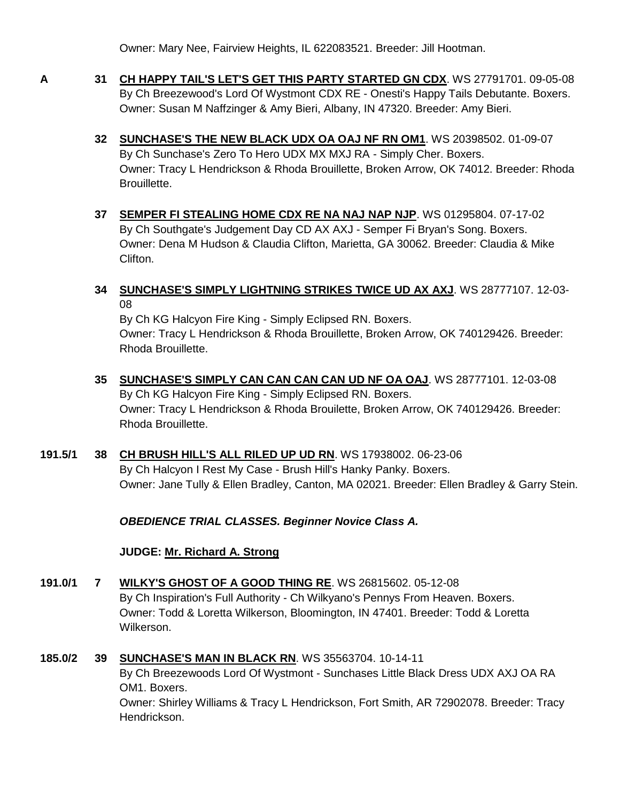Owner: Mary Nee, Fairview Heights, IL 622083521. Breeder: Jill Hootman.

- 
- **A 31 [CH HAPPY TAIL'S LET'S GET THIS PARTY STARTED GN CDX](http://www.infodog.com/files/bdogrsl1.prg;makc=WS%2027791701;mdog=Ch_Happy_Tail_s_Let_s_Get_This_Party_Started_GN_CDX;wins=all)**. WS 27791701. 09-05-08 By Ch Breezewood's Lord Of Wystmont CDX RE - Onesti's Happy Tails Debutante. Boxers. Owner: Susan M Naffzinger & Amy Bieri, Albany, IN 47320. Breeder: Amy Bieri.
	- **32 [SUNCHASE'S THE NEW BLACK UDX OA OAJ NF RN OM1](http://www.infodog.com/files/bdogrsl1.prg;makc=WS%2020398502;mdog=Sunchase_s_The_New_Black_UDX_OA_OAJ_NF_RN_OM1;wins=all)**. WS 20398502. 01-09-07 By Ch Sunchase's Zero To Hero UDX MX MXJ RA - Simply Cher. Boxers. Owner: Tracy L Hendrickson & Rhoda Brouillette, Broken Arrow, OK 74012. Breeder: Rhoda Brouillette.
	- **37 [SEMPER FI STEALING HOME CDX RE NA NAJ NAP NJP](http://www.infodog.com/files/bdogrsl1.prg;makc=WS%2001295804;mdog=Semper_Fi_Stealing_Home_CDX_RE_NA_NAJ_NAP_NJP;wins=all)**. WS 01295804. 07-17-02 By Ch Southgate's Judgement Day CD AX AXJ - Semper Fi Bryan's Song. Boxers. Owner: Dena M Hudson & Claudia Clifton, Marietta, GA 30062. Breeder: Claudia & Mike Clifton.
	- **34 [SUNCHASE'S SIMPLY LIGHTNING STRIKES TWICE UD AX AXJ](http://www.infodog.com/files/bdogrsl1.prg;makc=WS%2028777107;mdog=Sunchase_s_Simply_Lightning_Strikes_Twice_UD_AX_AXJ;wins=all)**. WS 28777107. 12-03- 08

By Ch KG Halcyon Fire King - Simply Eclipsed RN. Boxers. Owner: Tracy L Hendrickson & Rhoda Brouillette, Broken Arrow, OK 740129426. Breeder: Rhoda Brouillette.

- **35 [SUNCHASE'S SIMPLY CAN CAN CAN CAN UD NF OA OAJ](http://www.infodog.com/files/bdogrsl1.prg;makc=WS%2028777101;mdog=Sunchase_s_Simply_Can_Can_Can_Can_UD_NF_OA_OAJ;wins=all)**. WS 28777101. 12-03-08 By Ch KG Halcyon Fire King - Simply Eclipsed RN. Boxers. Owner: Tracy L Hendrickson & Rhoda Brouilette, Broken Arrow, OK 740129426. Breeder: Rhoda Brouillette.
- **191.5/1 38 [CH BRUSH HILL'S ALL RILED UP UD RN](http://www.infodog.com/files/bdogrsl1.prg;makc=WS%2017938002;mdog=Ch_Brush_Hill_s_All_Riled_Up_UD_RN;wins=all)**. WS 17938002. 06-23-06 By Ch Halcyon I Rest My Case - Brush Hill's Hanky Panky. Boxers. Owner: Jane Tully & Ellen Bradley, Canton, MA 02021. Breeder: Ellen Bradley & Garry Stein.

*OBEDIENCE TRIAL CLASSES. Beginner Novice Class A.*

## **JUDGE: [Mr. Richard A. Strong](http://www.infodog.com/judges/2197/juddat.htm)**

- **191.0/1 7 [WILKY'S GHOST OF A GOOD THING RE](http://www.infodog.com/files/bdogrsl1.prg;makc=WS%2026815602;mdog=Wilky_s_Ghost_Of_A_Good_Thing_RE;wins=all)**. WS 26815602. 05-12-08 By Ch Inspiration's Full Authority - Ch Wilkyano's Pennys From Heaven. Boxers. Owner: Todd & Loretta Wilkerson, Bloomington, IN 47401. Breeder: Todd & Loretta Wilkerson.
- **185.0/2 39 [SUNCHASE'S MAN IN BLACK RN](http://www.infodog.com/files/bdogrsl1.prg;makc=WS%2035563704;mdog=Sunchase_s_Man_In_Black_RN;wins=all)**. WS 35563704. 10-14-11

By Ch Breezewoods Lord Of Wystmont - Sunchases Little Black Dress UDX AXJ OA RA OM1. Boxers. Owner: Shirley Williams & Tracy L Hendrickson, Fort Smith, AR 72902078. Breeder: Tracy Hendrickson.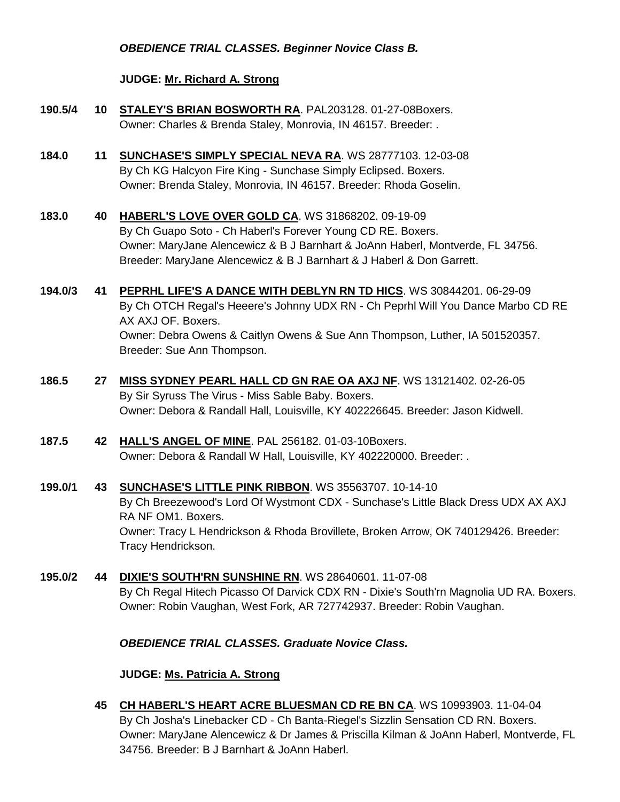#### *OBEDIENCE TRIAL CLASSES. Beginner Novice Class B.*

#### **JUDGE: [Mr. Richard A. Strong](http://www.infodog.com/judges/2197/juddat.htm)**

- **190.5/4 10 [STALEY'S BRIAN BOSWORTH RA](http://www.infodog.com/files/bdogrsl1.prg;makc=PAL203128;mdog=Staley_s_Brian_Bosworth_RA;wins=all)**. PAL203128. 01-27-08Boxers. Owner: Charles & Brenda Staley, Monrovia, IN 46157. Breeder: .
- **184.0 11 [SUNCHASE'S SIMPLY SPECIAL NEVA RA](http://www.infodog.com/files/bdogrsl1.prg;makc=WS%2028777103;mdog=Sunchase_s_Simply_Special_Neva_RA;wins=all)**. WS 28777103. 12-03-08 By Ch KG Halcyon Fire King - Sunchase Simply Eclipsed. Boxers. Owner: Brenda Staley, Monrovia, IN 46157. Breeder: Rhoda Goselin.
- **183.0 40 [HABERL'S LOVE OVER GOLD CA](http://www.infodog.com/files/bdogrsl1.prg;makc=WS%2031868202;mdog=Haberl_s_Love_Over_Gold_CA;wins=all)**. WS 31868202. 09-19-09 By Ch Guapo Soto - Ch Haberl's Forever Young CD RE. Boxers. Owner: MaryJane Alencewicz & B J Barnhart & JoAnn Haberl, Montverde, FL 34756. Breeder: MaryJane Alencewicz & B J Barnhart & J Haberl & Don Garrett.
- **194.0/3 41 [PEPRHL LIFE'S A DANCE WITH DEBLYN RN TD HICS](http://www.infodog.com/files/bdogrsl1.prg;makc=WS%2030844201;mdog=Peprhl_Life_s_A_Dance_With_DebLyn_RN_TD_HICs;wins=all)**. WS 30844201. 06-29-09 By Ch OTCH Regal's Heeere's Johnny UDX RN - Ch Peprhl Will You Dance Marbo CD RE AX AXJ OF. Boxers. Owner: Debra Owens & Caitlyn Owens & Sue Ann Thompson, Luther, IA 501520357. Breeder: Sue Ann Thompson.
- **186.5 27 [MISS SYDNEY PEARL HALL CD GN RAE OA AXJ NF](http://www.infodog.com/files/bdogrsl1.prg;makc=WS%2013121402;mdog=Miss_Sydney_Pearl_Hall_CD_GN_RAE_OA_AXJ_NF;wins=all)**. WS 13121402. 02-26-05 By Sir Syruss The Virus - Miss Sable Baby. Boxers. Owner: Debora & Randall Hall, Louisville, KY 402226645. Breeder: Jason Kidwell.
- **187.5 42 [HALL'S ANGEL OF MINE](http://www.infodog.com/files/bdogrsl1.prg;makc=PAL%20256182;mdog=Hall_s_Angel_Of_Mine;wins=all)**. PAL 256182. 01-03-10Boxers. Owner: Debora & Randall W Hall, Louisville, KY 402220000. Breeder: .
- **199.0/1 43 [SUNCHASE'S LITTLE PINK RIBBON](http://www.infodog.com/files/bdogrsl1.prg;makc=WS%2035563707;mdog=Sunchase_s_Little_Pink_Ribbon;wins=all)**. WS 35563707. 10-14-10 By Ch Breezewood's Lord Of Wystmont CDX - Sunchase's Little Black Dress UDX AX AXJ RA NF OM1. Boxers. Owner: Tracy L Hendrickson & Rhoda Brovillete, Broken Arrow, OK 740129426. Breeder: Tracy Hendrickson.
- **195.0/2 44 [DIXIE'S SOUTH'RN SUNSHINE RN](http://www.infodog.com/files/bdogrsl1.prg;makc=WS%2028640601;mdog=Dixie_s_South_rn_Sunshine_RN;wins=all)**. WS 28640601. 11-07-08 By Ch Regal Hitech Picasso Of Darvick CDX RN - Dixie's South'rn Magnolia UD RA. Boxers. Owner: Robin Vaughan, West Fork, AR 727742937. Breeder: Robin Vaughan.

#### *OBEDIENCE TRIAL CLASSES. Graduate Novice Class.*

#### **JUDGE: [Ms. Patricia A. Strong](http://www.infodog.com/judges/19096/juddat.htm)**

**45 [CH HABERL'S HEART ACRE BLUESMAN CD RE BN CA](http://www.infodog.com/files/bdogrsl1.prg;makc=WS%2010993903;mdog=Ch_Haberl_s_Heart_Acre_Bluesman_CD_RE_BN_CA;wins=all)**. WS 10993903. 11-04-04 By Ch Josha's Linebacker CD - Ch Banta-Riegel's Sizzlin Sensation CD RN. Boxers. Owner: MaryJane Alencewicz & Dr James & Priscilla Kilman & JoAnn Haberl, Montverde, FL 34756. Breeder: B J Barnhart & JoAnn Haberl.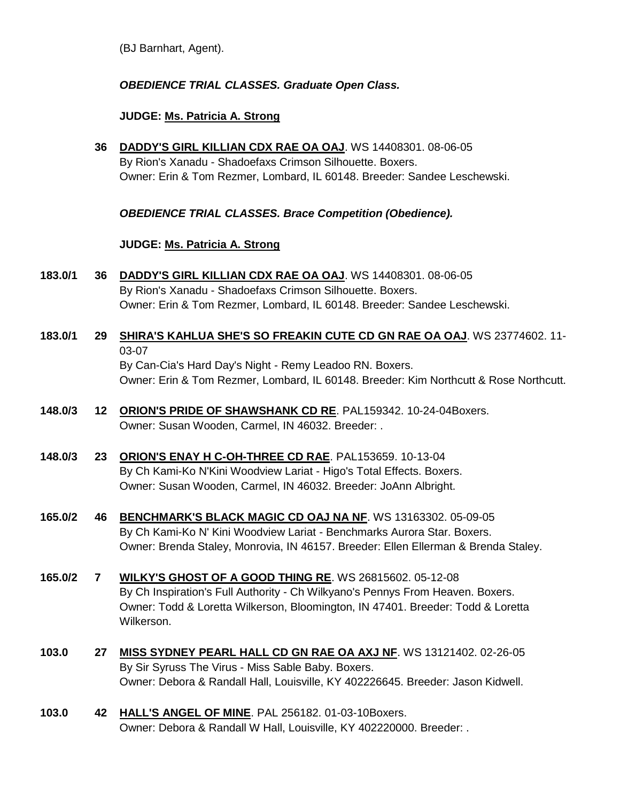(BJ Barnhart, Agent).

## *OBEDIENCE TRIAL CLASSES. Graduate Open Class.*

#### **JUDGE: [Ms. Patricia A. Strong](http://www.infodog.com/judges/19096/juddat.htm)**

**36 [DADDY'S GIRL KILLIAN CDX RAE OA OAJ](http://www.infodog.com/files/bdogrsl1.prg;makc=WS%2014408301;mdog=Daddy_s_Girl_Killian_CDX_RAE_OA_OAJ;wins=all)**. WS 14408301. 08-06-05 By Rion's Xanadu - Shadoefaxs Crimson Silhouette. Boxers. Owner: Erin & Tom Rezmer, Lombard, IL 60148. Breeder: Sandee Leschewski.

*OBEDIENCE TRIAL CLASSES. Brace Competition (Obedience).*

#### **JUDGE: [Ms. Patricia A. Strong](http://www.infodog.com/judges/19096/juddat.htm)**

- **183.0/1 36 [DADDY'S GIRL KILLIAN CDX RAE OA OAJ](http://www.infodog.com/files/bdogrsl1.prg;makc=WS%2014408301;mdog=Daddy_s_Girl_Killian_CDX_RAE_OA_OAJ;wins=all)**. WS 14408301. 08-06-05 By Rion's Xanadu - Shadoefaxs Crimson Silhouette. Boxers. Owner: Erin & Tom Rezmer, Lombard, IL 60148. Breeder: Sandee Leschewski.
- **183.0/1 29 [SHIRA'S KAHLUA SHE'S SO FREAKIN CUTE CD GN RAE OA OAJ](http://www.infodog.com/files/bdogrsl1.prg;makc=WS%2023774602;mdog=Shira_s_Kahlua_She_s_So_Freakin_Cute_CD_GN_RAE_OA_OAJ;wins=all)**. WS 23774602. 11- 03-07 By Can-Cia's Hard Day's Night - Remy Leadoo RN. Boxers. Owner: Erin & Tom Rezmer, Lombard, IL 60148. Breeder: Kim Northcutt & Rose Northcutt.
- **148.0/3 12 [ORION'S PRIDE OF SHAWSHANK CD RE](http://www.infodog.com/files/bdogrsl1.prg;makc=PAL159342;mdog=Orion_s_Pride_Of_Shawshank_CD_RE;wins=all)**. PAL159342. 10-24-04Boxers. Owner: Susan Wooden, Carmel, IN 46032. Breeder: .
- **148.0/3 23 [ORION'S ENAY H C-OH-THREE CD RAE](http://www.infodog.com/files/bdogrsl1.prg;makc=PAL153659;mdog=Orion_s_Enay_H_C-oh-three_CD_RAE;wins=all)**. PAL153659. 10-13-04 By Ch Kami-Ko N'Kini Woodview Lariat - Higo's Total Effects. Boxers. Owner: Susan Wooden, Carmel, IN 46032. Breeder: JoAnn Albright.
- **165.0/2 46 [BENCHMARK'S BLACK MAGIC CD OAJ NA NF](http://www.infodog.com/files/bdogrsl1.prg;makc=WS%2013163302;mdog=Benchmark_s_Black_Magic_CD_OAJ_NA_NF;wins=all)**. WS 13163302. 05-09-05 By Ch Kami-Ko N' Kini Woodview Lariat - Benchmarks Aurora Star. Boxers. Owner: Brenda Staley, Monrovia, IN 46157. Breeder: Ellen Ellerman & Brenda Staley.
- **165.0/2 7 [WILKY'S GHOST OF A GOOD THING RE](http://www.infodog.com/files/bdogrsl1.prg;makc=WS%2026815602;mdog=Wilky_s_Ghost_Of_A_Good_Thing_RE;wins=all)**. WS 26815602. 05-12-08 By Ch Inspiration's Full Authority - Ch Wilkyano's Pennys From Heaven. Boxers. Owner: Todd & Loretta Wilkerson, Bloomington, IN 47401. Breeder: Todd & Loretta Wilkerson.
- **103.0 27 [MISS SYDNEY PEARL HALL CD GN RAE OA AXJ NF](http://www.infodog.com/files/bdogrsl1.prg;makc=WS%2013121402;mdog=Miss_Sydney_Pearl_Hall_CD_GN_RAE_OA_AXJ_NF;wins=all)**. WS 13121402. 02-26-05 By Sir Syruss The Virus - Miss Sable Baby. Boxers. Owner: Debora & Randall Hall, Louisville, KY 402226645. Breeder: Jason Kidwell.
- **103.0 42 [HALL'S ANGEL OF MINE](http://www.infodog.com/files/bdogrsl1.prg;makc=PAL%20256182;mdog=Hall_s_Angel_Of_Mine;wins=all)**. PAL 256182. 01-03-10Boxers. Owner: Debora & Randall W Hall, Louisville, KY 402220000. Breeder: .